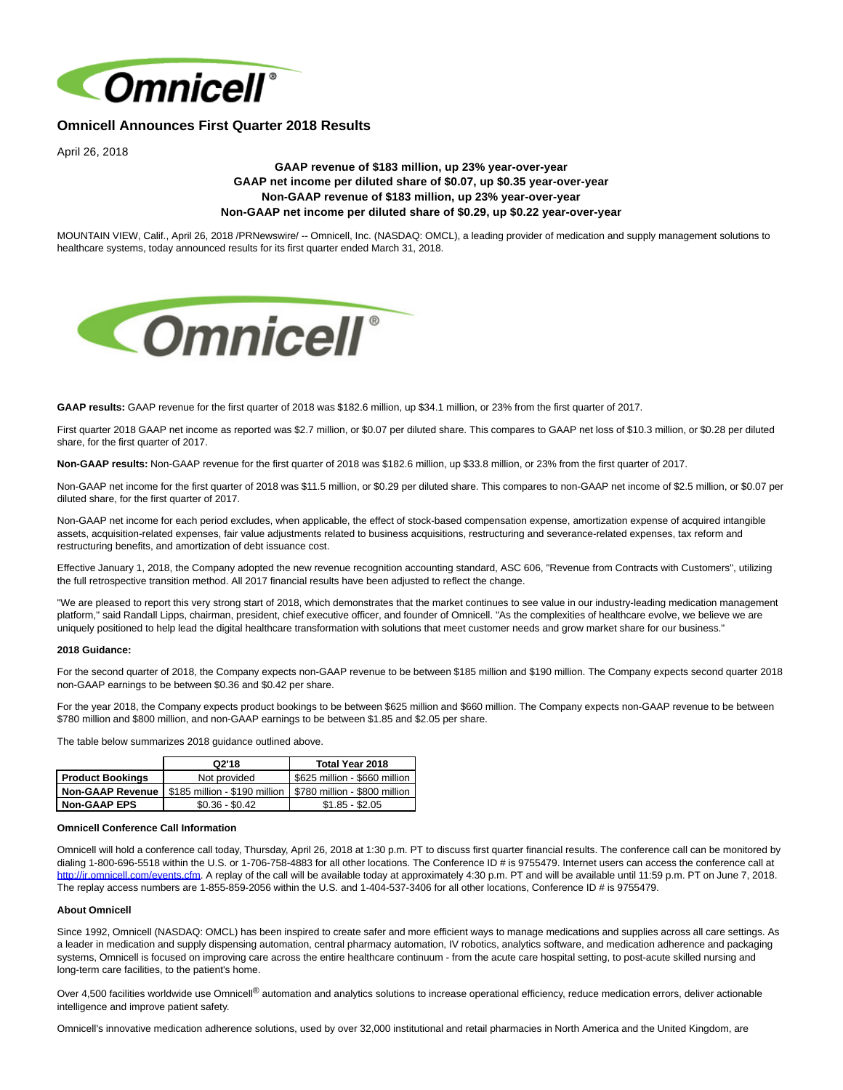

# **Omnicell Announces First Quarter 2018 Results**

April 26, 2018

## **GAAP revenue of \$183 million, up 23% year-over-year GAAP net income per diluted share of \$0.07, up \$0.35 year-over-year Non-GAAP revenue of \$183 million, up 23% year-over-year Non-GAAP net income per diluted share of \$0.29, up \$0.22 year-over-year**

MOUNTAIN VIEW, Calif., April 26, 2018 /PRNewswire/ -- Omnicell, Inc. (NASDAQ: OMCL), a leading provider of medication and supply management solutions to healthcare systems, today announced results for its first quarter ended March 31, 2018.



**GAAP results:** GAAP revenue for the first quarter of 2018 was \$182.6 million, up \$34.1 million, or 23% from the first quarter of 2017.

First quarter 2018 GAAP net income as reported was \$2.7 million, or \$0.07 per diluted share. This compares to GAAP net loss of \$10.3 million, or \$0.28 per diluted share, for the first quarter of 2017.

**Non-GAAP results:** Non-GAAP revenue for the first quarter of 2018 was \$182.6 million, up \$33.8 million, or 23% from the first quarter of 2017.

Non-GAAP net income for the first quarter of 2018 was \$11.5 million, or \$0.29 per diluted share. This compares to non-GAAP net income of \$2.5 million, or \$0.07 per diluted share, for the first quarter of 2017.

Non-GAAP net income for each period excludes, when applicable, the effect of stock-based compensation expense, amortization expense of acquired intangible assets, acquisition-related expenses, fair value adjustments related to business acquisitions, restructuring and severance-related expenses, tax reform and restructuring benefits, and amortization of debt issuance cost.

Effective January 1, 2018, the Company adopted the new revenue recognition accounting standard, ASC 606, "Revenue from Contracts with Customers", utilizing the full retrospective transition method. All 2017 financial results have been adjusted to reflect the change.

"We are pleased to report this very strong start of 2018, which demonstrates that the market continues to see value in our industry-leading medication management platform," said Randall Lipps, chairman, president, chief executive officer, and founder of Omnicell. "As the complexities of healthcare evolve, we believe we are uniquely positioned to help lead the digital healthcare transformation with solutions that meet customer needs and grow market share for our business."

### **2018 Guidance:**

For the second quarter of 2018, the Company expects non-GAAP revenue to be between \$185 million and \$190 million. The Company expects second quarter 2018 non-GAAP earnings to be between \$0.36 and \$0.42 per share.

For the year 2018, the Company expects product bookings to be between \$625 million and \$660 million. The Company expects non-GAAP revenue to be between \$780 million and \$800 million, and non-GAAP earnings to be between \$1.85 and \$2.05 per share.

The table below summarizes 2018 guidance outlined above.

|                         | Q2'18                         | Total Year 2018               |
|-------------------------|-------------------------------|-------------------------------|
| <b>Product Bookings</b> | Not provided                  | \$625 million - \$660 million |
| <b>Non-GAAP Revenue</b> | \$185 million - \$190 million | S780 million - \$800 million  |
| <b>Non-GAAP EPS</b>     | $$0.36 - $0.42$               | $$1.85 - $2.05$               |

#### **Omnicell Conference Call Information**

Omnicell will hold a conference call today, Thursday, April 26, 2018 at 1:30 p.m. PT to discuss first quarter financial results. The conference call can be monitored by dialing 1-800-696-5518 within the U.S. or 1-706-758-4883 for all other locations. The Conference ID # is 9755479. Internet users can access the conference call at [http://ir.omnicell.com/events.cfm.](http://ir.omnicell.com/events.cfm) A replay of the call will be available today at approximately 4:30 p.m. PT and will be available until 11:59 p.m. PT on June 7, 2018. The replay access numbers are 1-855-859-2056 within the U.S. and 1-404-537-3406 for all other locations, Conference ID # is 9755479.

### **About Omnicell**

Since 1992, Omnicell (NASDAQ: OMCL) has been inspired to create safer and more efficient ways to manage medications and supplies across all care settings. As a leader in medication and supply dispensing automation, central pharmacy automation, IV robotics, analytics software, and medication adherence and packaging systems, Omnicell is focused on improving care across the entire healthcare continuum - from the acute care hospital setting, to post-acute skilled nursing and long-term care facilities, to the patient's home.

Over 4,500 facilities worldwide use Omnicell<sup>®</sup> automation and analytics solutions to increase operational efficiency, reduce medication errors, deliver actionable intelligence and improve patient safety.

Omnicell's innovative medication adherence solutions, used by over 32,000 institutional and retail pharmacies in North America and the United Kingdom, are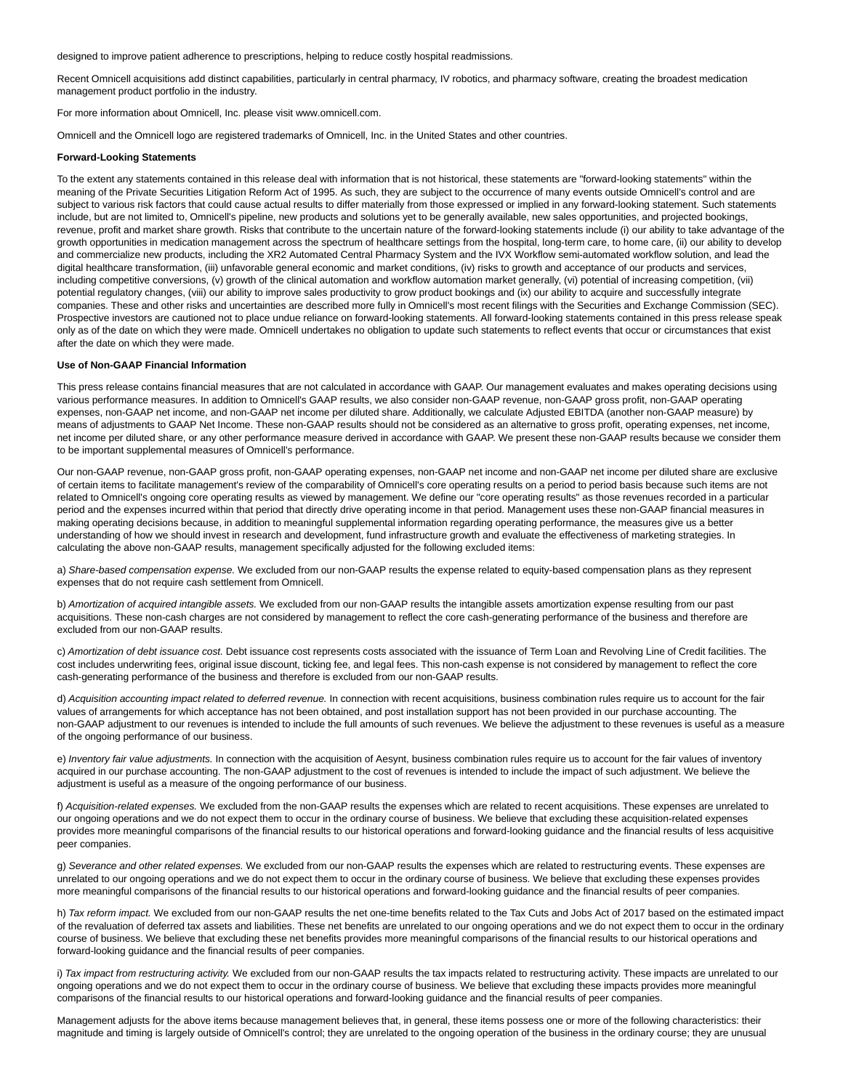designed to improve patient adherence to prescriptions, helping to reduce costly hospital readmissions.

Recent Omnicell acquisitions add distinct capabilities, particularly in central pharmacy, IV robotics, and pharmacy software, creating the broadest medication management product portfolio in the industry.

For more information about Omnicell, Inc. please visit www.omnicell.com.

Omnicell and the Omnicell logo are registered trademarks of Omnicell, Inc. in the United States and other countries.

#### **Forward-Looking Statements**

To the extent any statements contained in this release deal with information that is not historical, these statements are "forward-looking statements" within the meaning of the Private Securities Litigation Reform Act of 1995. As such, they are subject to the occurrence of many events outside Omnicell's control and are subject to various risk factors that could cause actual results to differ materially from those expressed or implied in any forward-looking statement. Such statements include, but are not limited to, Omnicell's pipeline, new products and solutions yet to be generally available, new sales opportunities, and projected bookings, revenue, profit and market share growth. Risks that contribute to the uncertain nature of the forward-looking statements include (i) our ability to take advantage of the growth opportunities in medication management across the spectrum of healthcare settings from the hospital, long-term care, to home care, (ii) our ability to develop and commercialize new products, including the XR2 Automated Central Pharmacy System and the IVX Workflow semi-automated workflow solution, and lead the digital healthcare transformation, (iii) unfavorable general economic and market conditions, (iv) risks to growth and acceptance of our products and services, including competitive conversions, (v) growth of the clinical automation and workflow automation market generally, (vi) potential of increasing competition, (vii) potential regulatory changes, (viii) our ability to improve sales productivity to grow product bookings and (ix) our ability to acquire and successfully integrate companies. These and other risks and uncertainties are described more fully in Omnicell's most recent filings with the Securities and Exchange Commission (SEC). Prospective investors are cautioned not to place undue reliance on forward-looking statements. All forward-looking statements contained in this press release speak only as of the date on which they were made. Omnicell undertakes no obligation to update such statements to reflect events that occur or circumstances that exist after the date on which they were made.

#### **Use of Non-GAAP Financial Information**

This press release contains financial measures that are not calculated in accordance with GAAP. Our management evaluates and makes operating decisions using various performance measures. In addition to Omnicell's GAAP results, we also consider non-GAAP revenue, non-GAAP gross profit, non-GAAP operating expenses, non-GAAP net income, and non-GAAP net income per diluted share. Additionally, we calculate Adjusted EBITDA (another non-GAAP measure) by means of adjustments to GAAP Net Income. These non-GAAP results should not be considered as an alternative to gross profit, operating expenses, net income, net income per diluted share, or any other performance measure derived in accordance with GAAP. We present these non-GAAP results because we consider them to be important supplemental measures of Omnicell's performance.

Our non-GAAP revenue, non-GAAP gross profit, non-GAAP operating expenses, non-GAAP net income and non-GAAP net income per diluted share are exclusive of certain items to facilitate management's review of the comparability of Omnicell's core operating results on a period to period basis because such items are not related to Omnicell's ongoing core operating results as viewed by management. We define our "core operating results" as those revenues recorded in a particular period and the expenses incurred within that period that directly drive operating income in that period. Management uses these non-GAAP financial measures in making operating decisions because, in addition to meaningful supplemental information regarding operating performance, the measures give us a better understanding of how we should invest in research and development, fund infrastructure growth and evaluate the effectiveness of marketing strategies. In calculating the above non-GAAP results, management specifically adjusted for the following excluded items:

a) Share-based compensation expense. We excluded from our non-GAAP results the expense related to equity-based compensation plans as they represent expenses that do not require cash settlement from Omnicell.

b) Amortization of acquired intangible assets. We excluded from our non-GAAP results the intangible assets amortization expense resulting from our past acquisitions. These non-cash charges are not considered by management to reflect the core cash-generating performance of the business and therefore are excluded from our non-GAAP results.

c) Amortization of debt issuance cost. Debt issuance cost represents costs associated with the issuance of Term Loan and Revolving Line of Credit facilities. The cost includes underwriting fees, original issue discount, ticking fee, and legal fees. This non-cash expense is not considered by management to reflect the core cash-generating performance of the business and therefore is excluded from our non-GAAP results.

d) Acquisition accounting impact related to deferred revenue. In connection with recent acquisitions, business combination rules require us to account for the fair values of arrangements for which acceptance has not been obtained, and post installation support has not been provided in our purchase accounting. The non-GAAP adjustment to our revenues is intended to include the full amounts of such revenues. We believe the adjustment to these revenues is useful as a measure of the ongoing performance of our business.

e) Inventory fair value adjustments. In connection with the acquisition of Aesynt, business combination rules require us to account for the fair values of inventory acquired in our purchase accounting. The non-GAAP adjustment to the cost of revenues is intended to include the impact of such adjustment. We believe the adjustment is useful as a measure of the ongoing performance of our business.

f) Acquisition-related expenses. We excluded from the non-GAAP results the expenses which are related to recent acquisitions. These expenses are unrelated to our ongoing operations and we do not expect them to occur in the ordinary course of business. We believe that excluding these acquisition-related expenses provides more meaningful comparisons of the financial results to our historical operations and forward-looking guidance and the financial results of less acquisitive peer companies.

g) Severance and other related expenses. We excluded from our non-GAAP results the expenses which are related to restructuring events. These expenses are unrelated to our ongoing operations and we do not expect them to occur in the ordinary course of business. We believe that excluding these expenses provides more meaningful comparisons of the financial results to our historical operations and forward-looking guidance and the financial results of peer companies.

h) Tax reform impact. We excluded from our non-GAAP results the net one-time benefits related to the Tax Cuts and Jobs Act of 2017 based on the estimated impact of the revaluation of deferred tax assets and liabilities. These net benefits are unrelated to our ongoing operations and we do not expect them to occur in the ordinary course of business. We believe that excluding these net benefits provides more meaningful comparisons of the financial results to our historical operations and forward-looking guidance and the financial results of peer companies.

i) Tax impact from restructuring activity. We excluded from our non-GAAP results the tax impacts related to restructuring activity. These impacts are unrelated to our ongoing operations and we do not expect them to occur in the ordinary course of business. We believe that excluding these impacts provides more meaningful comparisons of the financial results to our historical operations and forward-looking guidance and the financial results of peer companies.

Management adjusts for the above items because management believes that, in general, these items possess one or more of the following characteristics: their magnitude and timing is largely outside of Omnicell's control; they are unrelated to the ongoing operation of the business in the ordinary course; they are unusual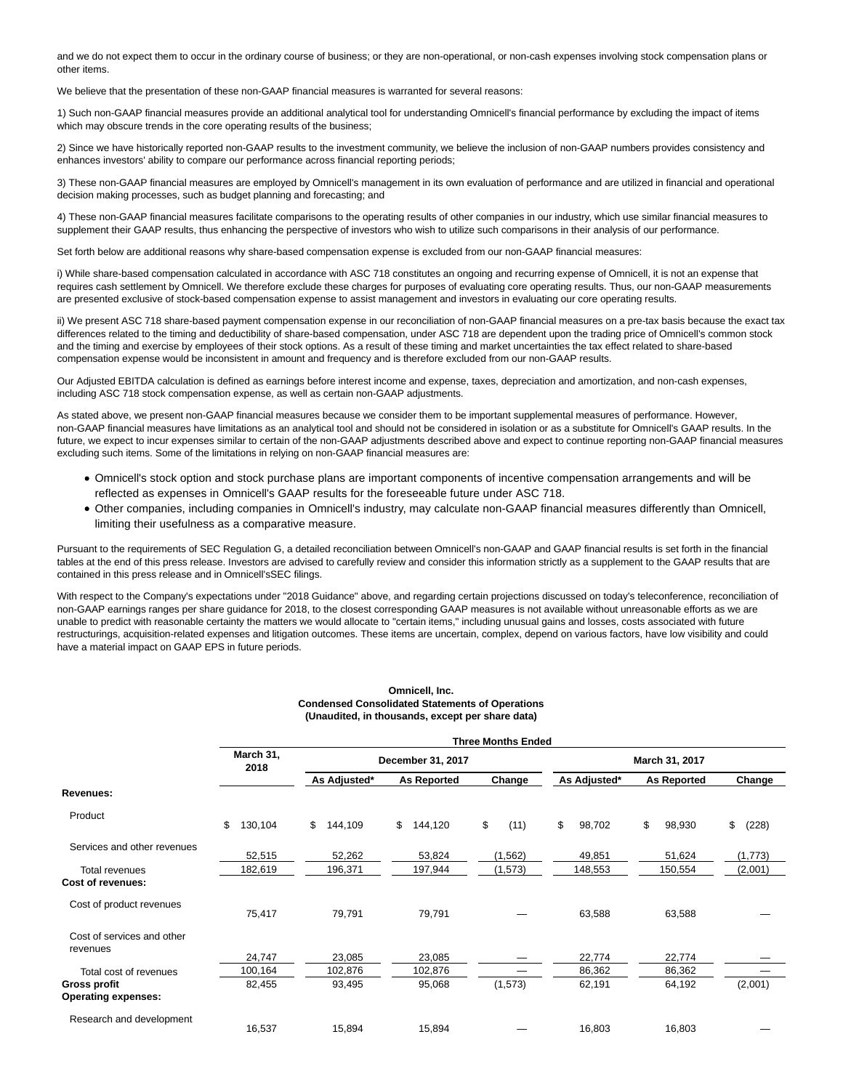and we do not expect them to occur in the ordinary course of business; or they are non-operational, or non-cash expenses involving stock compensation plans or other items.

We believe that the presentation of these non-GAAP financial measures is warranted for several reasons:

1) Such non-GAAP financial measures provide an additional analytical tool for understanding Omnicell's financial performance by excluding the impact of items which may obscure trends in the core operating results of the business;

2) Since we have historically reported non-GAAP results to the investment community, we believe the inclusion of non-GAAP numbers provides consistency and enhances investors' ability to compare our performance across financial reporting periods;

3) These non-GAAP financial measures are employed by Omnicell's management in its own evaluation of performance and are utilized in financial and operational decision making processes, such as budget planning and forecasting; and

4) These non-GAAP financial measures facilitate comparisons to the operating results of other companies in our industry, which use similar financial measures to supplement their GAAP results, thus enhancing the perspective of investors who wish to utilize such comparisons in their analysis of our performance.

Set forth below are additional reasons why share-based compensation expense is excluded from our non-GAAP financial measures:

i) While share-based compensation calculated in accordance with ASC 718 constitutes an ongoing and recurring expense of Omnicell, it is not an expense that requires cash settlement by Omnicell. We therefore exclude these charges for purposes of evaluating core operating results. Thus, our non-GAAP measurements are presented exclusive of stock-based compensation expense to assist management and investors in evaluating our core operating results.

ii) We present ASC 718 share-based payment compensation expense in our reconciliation of non-GAAP financial measures on a pre-tax basis because the exact tax differences related to the timing and deductibility of share-based compensation, under ASC 718 are dependent upon the trading price of Omnicell's common stock and the timing and exercise by employees of their stock options. As a result of these timing and market uncertainties the tax effect related to share-based compensation expense would be inconsistent in amount and frequency and is therefore excluded from our non-GAAP results.

Our Adjusted EBITDA calculation is defined as earnings before interest income and expense, taxes, depreciation and amortization, and non-cash expenses, including ASC 718 stock compensation expense, as well as certain non-GAAP adjustments.

As stated above, we present non-GAAP financial measures because we consider them to be important supplemental measures of performance. However, non-GAAP financial measures have limitations as an analytical tool and should not be considered in isolation or as a substitute for Omnicell's GAAP results. In the future, we expect to incur expenses similar to certain of the non-GAAP adjustments described above and expect to continue reporting non-GAAP financial measures excluding such items. Some of the limitations in relying on non-GAAP financial measures are:

- Omnicell's stock option and stock purchase plans are important components of incentive compensation arrangements and will be reflected as expenses in Omnicell's GAAP results for the foreseeable future under ASC 718.
- Other companies, including companies in Omnicell's industry, may calculate non-GAAP financial measures differently than Omnicell, limiting their usefulness as a comparative measure.

Pursuant to the requirements of SEC Regulation G, a detailed reconciliation between Omnicell's non-GAAP and GAAP financial results is set forth in the financial tables at the end of this press release. Investors are advised to carefully review and consider this information strictly as a supplement to the GAAP results that are contained in this press release and in Omnicell'sSEC filings.

With respect to the Company's expectations under "2018 Guidance" above, and regarding certain projections discussed on today's teleconference, reconciliation of non-GAAP earnings ranges per share guidance for 2018, to the closest corresponding GAAP measures is not available without unreasonable efforts as we are unable to predict with reasonable certainty the matters we would allocate to "certain items," including unusual gains and losses, costs associated with future restructurings, acquisition-related expenses and litigation outcomes. These items are uncertain, complex, depend on various factors, have low visibility and could have a material impact on GAAP EPS in future periods.

|                                        |                   |               |                    | <b>Three Months Ended</b> |                |                    |             |  |  |  |
|----------------------------------------|-------------------|---------------|--------------------|---------------------------|----------------|--------------------|-------------|--|--|--|
|                                        | March 31,<br>2018 |               | December 31, 2017  |                           | March 31, 2017 |                    |             |  |  |  |
|                                        |                   | As Adjusted*  | <b>As Reported</b> | Change                    | As Adjusted*   | <b>As Reported</b> | Change      |  |  |  |
| Revenues:                              |                   |               |                    |                           |                |                    |             |  |  |  |
| Product                                | \$<br>130,104     | \$<br>144,109 | \$<br>144,120      | \$<br>(11)                | \$<br>98,702   | \$<br>98,930       | \$<br>(228) |  |  |  |
| Services and other revenues            | 52,515            | 52,262        | 53,824             | (1, 562)                  | 49,851         | 51,624             | (1,773)     |  |  |  |
| Total revenues                         | 182,619           | 196,371       | 197,944            | (1, 573)                  | 148,553        | 150,554            | (2,001)     |  |  |  |
| Cost of revenues:                      |                   |               |                    |                           |                |                    |             |  |  |  |
| Cost of product revenues               | 75,417            | 79,791        | 79,791             |                           | 63,588         | 63,588             |             |  |  |  |
| Cost of services and other<br>revenues |                   |               |                    |                           |                |                    |             |  |  |  |
|                                        | 24,747            | 23,085        | 23,085             |                           | 22,774         | 22,774             |             |  |  |  |
| Total cost of revenues                 | 100,164           | 102,876       | 102,876            |                           | 86,362         | 86,362             |             |  |  |  |
| Gross profit                           | 82,455            | 93,495        | 95,068             | (1, 573)                  | 62,191         | 64,192             | (2,001)     |  |  |  |
| <b>Operating expenses:</b>             |                   |               |                    |                           |                |                    |             |  |  |  |
| Research and development               | 16,537            | 15,894        | 15,894             |                           | 16,803         | 16,803             |             |  |  |  |

#### **Omnicell, Inc. Condensed Consolidated Statements of Operations (Unaudited, in thousands, except per share data)**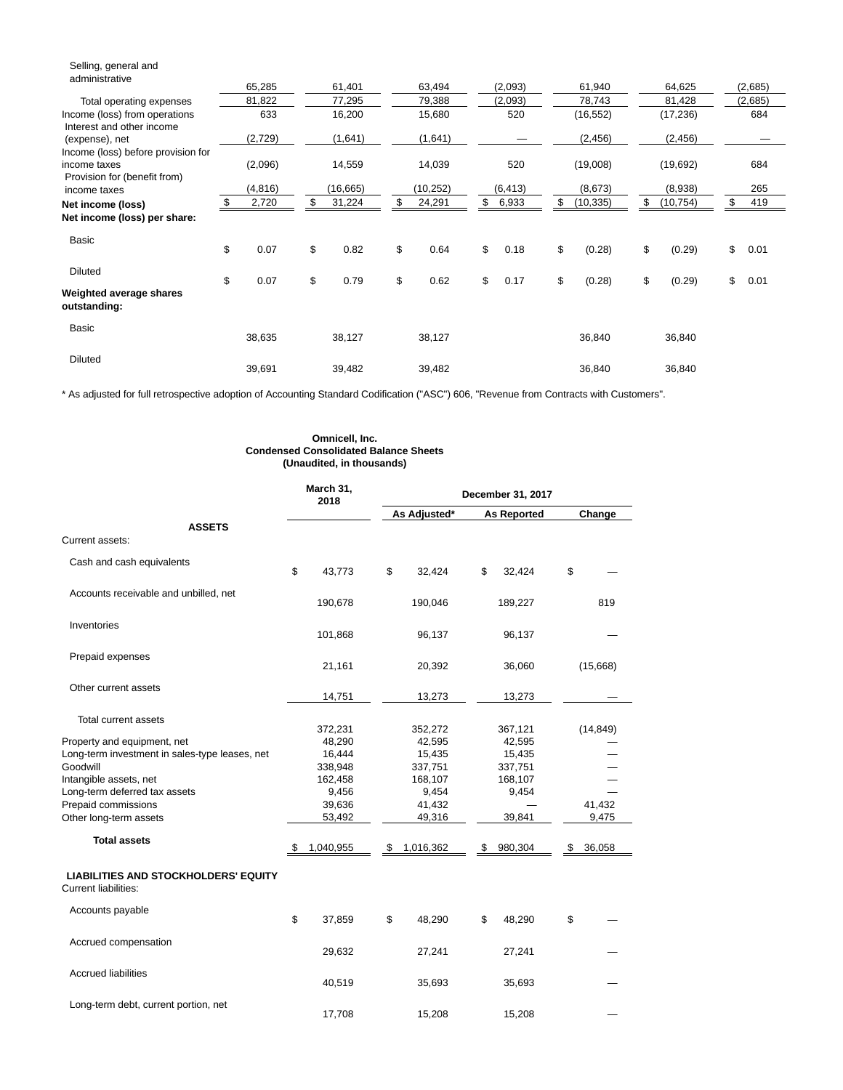### Selling, general and

| administrative                          |            |            |              |             |                 |                 |    |         |  |
|-----------------------------------------|------------|------------|--------------|-------------|-----------------|-----------------|----|---------|--|
|                                         | 65,285     | 61,401     | 63,494       | (2,093)     | 61,940          | 64,625          |    | (2,685) |  |
| Total operating expenses                | 81,822     | 77,295     | 79,388       | (2,093)     | 78,743          | 81,428          |    | (2,685) |  |
| Income (loss) from operations           | 633        | 16,200     | 15,680       | 520         | (16, 552)       | (17, 236)       |    | 684     |  |
| Interest and other income               |            |            |              |             |                 |                 |    |         |  |
| (expense), net                          | (2,729)    | (1,641)    | (1,641)      |             | (2, 456)        | (2, 456)        |    |         |  |
| Income (loss) before provision for      |            |            |              |             |                 |                 |    |         |  |
| income taxes                            | (2,096)    | 14,559     | 14,039       | 520         | (19,008)        | (19,692)        |    | 684     |  |
| Provision for (benefit from)            |            |            |              |             |                 |                 |    |         |  |
| income taxes                            | (4, 816)   | (16, 665)  | (10, 252)    | (6, 413)    | (8,673)         | (8,938)         |    | 265     |  |
| Net income (loss)                       | 2,720      | 31,224     | \$<br>24,291 | \$<br>6,933 | \$<br>(10, 335) | \$<br>(10, 754) | J. | 419     |  |
| Net income (loss) per share:            |            |            |              |             |                 |                 |    |         |  |
| <b>Basic</b>                            |            |            |              |             |                 |                 |    |         |  |
|                                         | \$<br>0.07 | \$<br>0.82 | \$<br>0.64   | \$<br>0.18  | \$<br>(0.28)    | \$<br>(0.29)    | \$ | 0.01    |  |
| Diluted                                 |            |            |              |             |                 |                 |    |         |  |
|                                         | \$<br>0.07 | \$<br>0.79 | \$<br>0.62   | \$<br>0.17  | \$<br>(0.28)    | \$<br>(0.29)    | \$ | 0.01    |  |
| Weighted average shares<br>outstanding: |            |            |              |             |                 |                 |    |         |  |
| <b>Basic</b>                            |            |            |              |             |                 |                 |    |         |  |
|                                         | 38,635     | 38,127     | 38,127       |             | 36,840          | 36,840          |    |         |  |
| <b>Diluted</b>                          |            |            |              |             |                 |                 |    |         |  |
|                                         | 39,691     | 39,482     | 39,482       |             | 36,840          | 36,840          |    |         |  |

\* As adjusted for full retrospective adoption of Accounting Standard Codification ("ASC") 606, "Revenue from Contracts with Customers".

## **Omnicell, Inc. Condensed Consolidated Balance Sheets (Unaudited, in thousands)**

|                                                                            | March 31,<br>2018 | December 31, 2017 |              |    |                    |    |           |
|----------------------------------------------------------------------------|-------------------|-------------------|--------------|----|--------------------|----|-----------|
|                                                                            |                   |                   | As Adjusted* |    | <b>As Reported</b> |    | Change    |
| <b>ASSETS</b>                                                              |                   |                   |              |    |                    |    |           |
| Current assets:                                                            |                   |                   |              |    |                    |    |           |
| Cash and cash equivalents                                                  | \$<br>43,773      | \$                | 32,424       | \$ | 32,424             | \$ |           |
| Accounts receivable and unbilled, net                                      | 190,678           |                   | 190,046      |    | 189,227            |    | 819       |
| Inventories                                                                | 101,868           |                   | 96,137       |    | 96,137             |    |           |
| Prepaid expenses                                                           | 21,161            |                   | 20,392       |    | 36,060             |    | (15,668)  |
| Other current assets                                                       | 14,751            |                   | 13,273       |    | 13,273             |    |           |
| Total current assets                                                       | 372,231           |                   | 352,272      |    | 367,121            |    | (14, 849) |
| Property and equipment, net                                                | 48,290            |                   | 42,595       |    | 42,595             |    |           |
| Long-term investment in sales-type leases, net                             | 16,444            |                   | 15,435       |    | 15,435             |    |           |
| Goodwill                                                                   | 338,948           |                   | 337,751      |    | 337,751            |    |           |
| Intangible assets, net                                                     | 162,458           |                   | 168,107      |    | 168,107            |    |           |
| Long-term deferred tax assets                                              | 9,456             |                   | 9,454        |    | 9,454              |    |           |
| Prepaid commissions                                                        | 39,636            |                   | 41,432       |    |                    |    | 41,432    |
| Other long-term assets                                                     | 53,492            |                   | 49,316       |    | 39,841             |    | 9,475     |
| <b>Total assets</b>                                                        | 1,040,955         | \$                | 1,016,362    | \$ | 980,304            | \$ | 36,058    |
| <b>LIABILITIES AND STOCKHOLDERS' EQUITY</b><br><b>Current liabilities:</b> |                   |                   |              |    |                    |    |           |
| Accounts payable                                                           | \$<br>37,859      | \$                | 48,290       | \$ | 48,290             | \$ |           |
| Accrued compensation                                                       | 29,632            |                   | 27,241       |    | 27,241             |    |           |
| <b>Accrued liabilities</b>                                                 | 40,519            |                   | 35,693       |    | 35,693             |    |           |
| Long-term debt, current portion, net                                       |                   |                   |              |    |                    |    |           |

17,708 15,208 15,208 —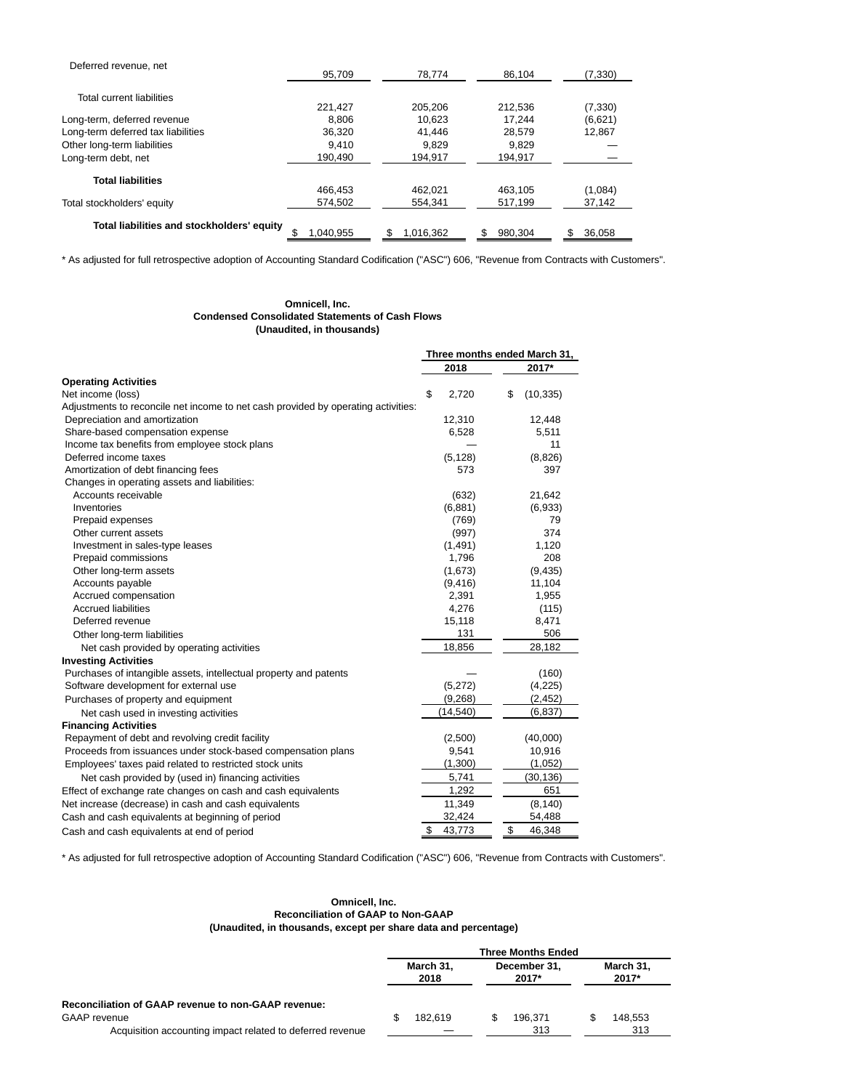| Deferred revenue, net                      |           |           |              |         |
|--------------------------------------------|-----------|-----------|--------------|---------|
|                                            | 95.709    | 78.774    | 86.104       | (7,330) |
| Total current liabilities                  |           |           |              |         |
|                                            | 221.427   | 205.206   | 212.536      | (7,330) |
| Long-term, deferred revenue                | 8.806     | 10.623    | 17.244       | (6,621) |
| Long-term deferred tax liabilities         | 36.320    | 41.446    | 28.579       | 12,867  |
| Other long-term liabilities                | 9.410     | 9.829     | 9.829        |         |
| Long-term debt, net                        | 190.490   | 194.917   | 194.917      |         |
| Total liabilities                          |           |           |              |         |
|                                            | 466.453   | 462.021   | 463.105      | (1,084) |
| Total stockholders' equity                 | 574.502   | 554.341   | 517.199      | 37,142  |
|                                            |           |           |              |         |
| Total liabilities and stockholders' equity | 1.040.955 | 1,016,362 | S<br>980,304 | 36,058  |

\* As adjusted for full retrospective adoption of Accounting Standard Codification ("ASC") 606, "Revenue from Contracts with Customers".

## **Omnicell, Inc. Condensed Consolidated Statements of Cash Flows (Unaudited, in thousands)**

|                                                                                   | Three months ended March 31, |           |    |           |
|-----------------------------------------------------------------------------------|------------------------------|-----------|----|-----------|
|                                                                                   |                              | 2018      |    | 2017*     |
| <b>Operating Activities</b>                                                       |                              |           |    |           |
| Net income (loss)                                                                 | \$                           | 2,720     | \$ | (10, 335) |
| Adjustments to reconcile net income to net cash provided by operating activities: |                              |           |    |           |
| Depreciation and amortization                                                     |                              | 12,310    |    | 12,448    |
| Share-based compensation expense                                                  |                              | 6,528     |    | 5,511     |
| Income tax benefits from employee stock plans                                     |                              |           |    | 11        |
| Deferred income taxes                                                             |                              | (5, 128)  |    | (8,826)   |
| Amortization of debt financing fees                                               |                              | 573       |    | 397       |
| Changes in operating assets and liabilities:                                      |                              |           |    |           |
| Accounts receivable                                                               |                              | (632)     |    | 21,642    |
| Inventories                                                                       |                              | (6,881)   |    | (6,933)   |
| Prepaid expenses                                                                  |                              | (769)     |    | 79        |
| Other current assets                                                              |                              | (997)     |    | 374       |
| Investment in sales-type leases                                                   |                              | (1, 491)  |    | 1,120     |
| Prepaid commissions                                                               |                              | 1,796     |    | 208       |
| Other long-term assets                                                            |                              | (1,673)   |    | (9, 435)  |
| Accounts payable                                                                  |                              | (9, 416)  |    | 11,104    |
| Accrued compensation                                                              |                              | 2,391     |    | 1,955     |
| <b>Accrued liabilities</b>                                                        |                              | 4,276     |    | (115)     |
| Deferred revenue                                                                  |                              | 15,118    |    | 8,471     |
| Other long-term liabilities                                                       |                              | 131       |    | 506       |
| Net cash provided by operating activities                                         |                              | 18,856    |    | 28,182    |
| <b>Investing Activities</b>                                                       |                              |           |    |           |
| Purchases of intangible assets, intellectual property and patents                 |                              |           |    | (160)     |
| Software development for external use                                             |                              | (5,272)   |    | (4, 225)  |
| Purchases of property and equipment                                               |                              | (9, 268)  |    | (2, 452)  |
| Net cash used in investing activities                                             |                              | (14, 540) |    | (6, 837)  |
| <b>Financing Activities</b>                                                       |                              |           |    |           |
| Repayment of debt and revolving credit facility                                   |                              | (2,500)   |    | (40,000)  |
| Proceeds from issuances under stock-based compensation plans                      |                              | 9,541     |    | 10,916    |
| Employees' taxes paid related to restricted stock units                           |                              | (1,300)   |    | (1,052)   |
| Net cash provided by (used in) financing activities                               |                              | 5,741     |    | (30, 136) |
| Effect of exchange rate changes on cash and cash equivalents                      |                              | 1,292     |    | 651       |
| Net increase (decrease) in cash and cash equivalents                              |                              | 11,349    |    | (8, 140)  |
| Cash and cash equivalents at beginning of period                                  |                              | 32,424    |    | 54,488    |
| Cash and cash equivalents at end of period                                        | \$                           | 43,773    | \$ | 46,348    |

\* As adjusted for full retrospective adoption of Accounting Standard Codification ("ASC") 606, "Revenue from Contracts with Customers".

## **Omnicell, Inc. Reconciliation of GAAP to Non-GAAP (Unaudited, in thousands, except per share data and percentage)**

|                                                            | <b>Three Months Ended</b> |                   |  |                       |  |                    |
|------------------------------------------------------------|---------------------------|-------------------|--|-----------------------|--|--------------------|
|                                                            |                           | March 31,<br>2018 |  | December 31.<br>2017* |  | March 31.<br>2017* |
| <b>Reconciliation of GAAP revenue to non-GAAP revenue:</b> |                           |                   |  |                       |  |                    |
| GAAP revenue                                               |                           | 182.619           |  | 196.371               |  | 148.553            |
| Acquisition accounting impact related to deferred revenue  |                           |                   |  | 313                   |  | 313                |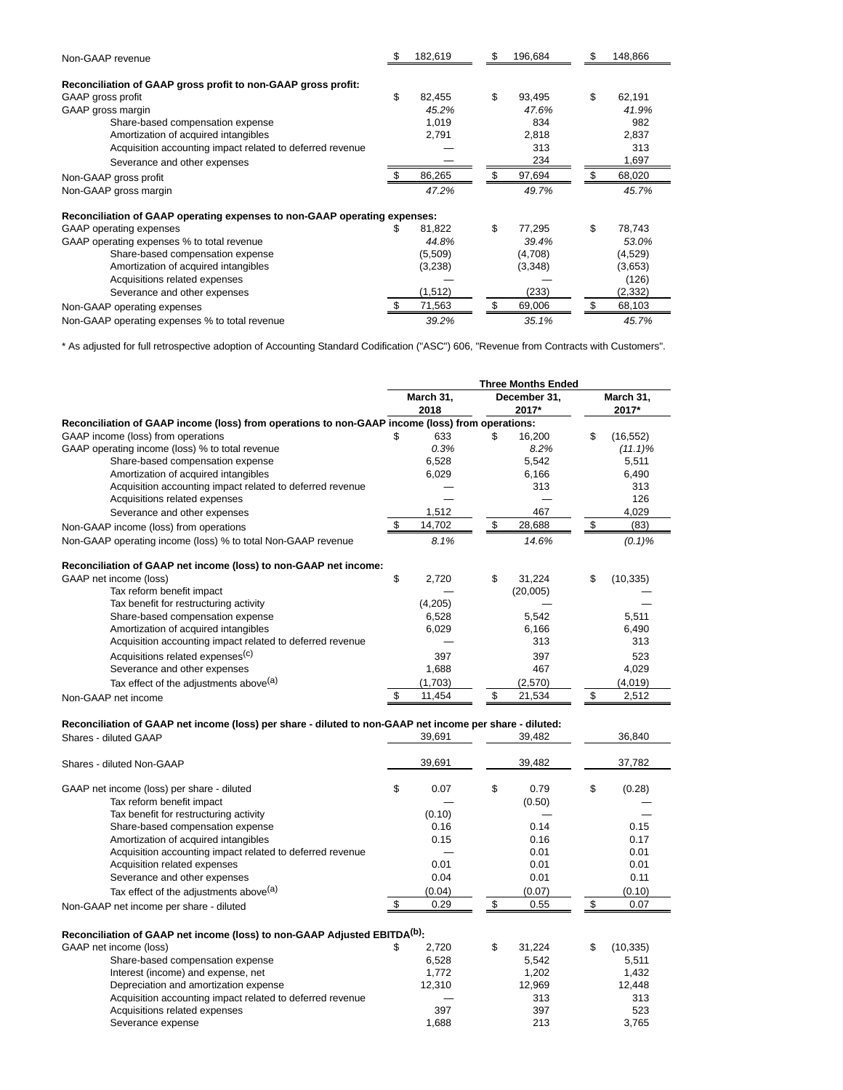| Non-GAAP revenue                                                          |    | 182,619 | \$<br>196,684 | 148,866      |
|---------------------------------------------------------------------------|----|---------|---------------|--------------|
| Reconciliation of GAAP gross profit to non-GAAP gross profit:             |    |         |               |              |
| GAAP gross profit                                                         | \$ | 82,455  | \$<br>93,495  | \$<br>62,191 |
| GAAP gross margin                                                         |    | 45.2%   | 47.6%         | 41.9%        |
| Share-based compensation expense                                          |    | 1,019   | 834           | 982          |
| Amortization of acquired intangibles                                      |    | 2,791   | 2,818         | 2,837        |
| Acquisition accounting impact related to deferred revenue                 |    |         | 313           | 313          |
| Severance and other expenses                                              |    |         | 234           | 1,697        |
| Non-GAAP gross profit                                                     |    | 86,265  | 97,694        | 68,020       |
| Non-GAAP gross margin                                                     |    | 47.2%   | 49.7%         | 45.7%        |
| Reconciliation of GAAP operating expenses to non-GAAP operating expenses: |    |         |               |              |
| GAAP operating expenses                                                   | SS | 81,822  | \$<br>77,295  | \$<br>78,743 |
| GAAP operating expenses % to total revenue                                |    | 44.8%   | 39.4%         | 53.0%        |
| Share-based compensation expense                                          |    | (5,509) | (4,708)       | (4,529)      |
| Amortization of acquired intangibles                                      |    | (3,238) | (3,348)       | (3,653)      |
| Acquisitions related expenses                                             |    |         |               | (126)        |
| Severance and other expenses                                              |    | (1,512) | (233)         | (2, 332)     |
| Non-GAAP operating expenses                                               |    | 71,563  | 69,006        | 68,103       |
| Non-GAAP operating expenses % to total revenue                            |    | 39.2%   | 35.1%         | 45.7%        |

\* As adjusted for full retrospective adoption of Accounting Standard Codification ("ASC") 606, "Revenue from Contracts with Customers".

|                                                                                                                                   | <b>Three Months Ended</b> |                   |    |                       |    |                    |  |
|-----------------------------------------------------------------------------------------------------------------------------------|---------------------------|-------------------|----|-----------------------|----|--------------------|--|
|                                                                                                                                   |                           | March 31,<br>2018 |    | December 31,<br>2017* |    | March 31,<br>2017* |  |
| Reconciliation of GAAP income (loss) from operations to non-GAAP income (loss) from operations:                                   |                           |                   |    |                       |    |                    |  |
| GAAP income (loss) from operations                                                                                                |                           | 633               | \$ | 16.200                | \$ | (16, 552)          |  |
| GAAP operating income (loss) % to total revenue                                                                                   |                           | 0.3%              |    | 8.2%                  |    | $(11.1)\%$         |  |
| Share-based compensation expense                                                                                                  |                           | 6,528             |    | 5,542                 |    | 5,511              |  |
| Amortization of acquired intangibles                                                                                              |                           | 6,029             |    | 6,166                 |    | 6,490              |  |
| Acquisition accounting impact related to deferred revenue                                                                         |                           |                   |    | 313                   |    | 313                |  |
| Acquisitions related expenses                                                                                                     |                           |                   |    |                       |    | 126                |  |
| Severance and other expenses                                                                                                      |                           | 1,512             |    | 467                   |    | 4,029              |  |
| Non-GAAP income (loss) from operations                                                                                            | \$                        | 14.702            | \$ | 28,688                | \$ | (83)               |  |
| Non-GAAP operating income (loss) % to total Non-GAAP revenue                                                                      |                           | 8.1%              |    | 14.6%                 |    | $(0.1)\%$          |  |
| Reconciliation of GAAP net income (loss) to non-GAAP net income:                                                                  |                           |                   |    |                       |    |                    |  |
| GAAP net income (loss)                                                                                                            | \$                        | 2,720             | \$ | 31,224                | \$ | (10, 335)          |  |
| Tax reform benefit impact                                                                                                         |                           |                   |    | (20,005)              |    |                    |  |
| Tax benefit for restructuring activity                                                                                            |                           | (4,205)           |    |                       |    |                    |  |
| Share-based compensation expense                                                                                                  |                           | 6,528             |    | 5,542                 |    | 5,511              |  |
| Amortization of acquired intangibles                                                                                              |                           | 6,029             |    | 6,166                 |    | 6,490              |  |
| Acquisition accounting impact related to deferred revenue                                                                         |                           |                   |    | 313                   |    | 313                |  |
| Acquisitions related expenses <sup>(c)</sup>                                                                                      |                           | 397               |    | 397                   |    | 523                |  |
| Severance and other expenses                                                                                                      |                           | 1,688             |    | 467                   |    | 4,029              |  |
| Tax effect of the adjustments above <sup>(a)</sup>                                                                                |                           | (1,703)           |    | (2,570)               |    | (4,019)            |  |
| Non-GAAP net income                                                                                                               | \$                        | 11.454            | \$ | 21,534                | \$ | 2,512              |  |
| Reconciliation of GAAP net income (loss) per share - diluted to non-GAAP net income per share - diluted:<br>Shares - diluted GAAP |                           | 39,691            |    | 39,482                |    | 36,840             |  |
|                                                                                                                                   |                           |                   |    |                       |    |                    |  |
| Shares - diluted Non-GAAP                                                                                                         |                           | 39,691            |    | 39,482                |    | 37,782             |  |
| GAAP net income (loss) per share - diluted                                                                                        | \$                        | 0.07              | \$ | 0.79                  | \$ | (0.28)             |  |
| Tax reform benefit impact                                                                                                         |                           |                   |    | (0.50)                |    |                    |  |
| Tax benefit for restructuring activity                                                                                            |                           | (0.10)            |    |                       |    |                    |  |
| Share-based compensation expense                                                                                                  |                           | 0.16              |    | 0.14                  |    | 0.15               |  |
| Amortization of acquired intangibles                                                                                              |                           | 0.15              |    | 0.16                  |    | 0.17               |  |
| Acquisition accounting impact related to deferred revenue                                                                         |                           |                   |    | 0.01                  |    | 0.01               |  |
| Acquisition related expenses                                                                                                      |                           | 0.01              |    | 0.01                  |    | 0.01               |  |
| Severance and other expenses                                                                                                      |                           | 0.04              |    | 0.01                  |    | 0.11               |  |
| Tax effect of the adjustments above <sup>(a)</sup>                                                                                |                           | (0.04)            |    | (0.07)                |    | (0.10)             |  |
| Non-GAAP net income per share - diluted                                                                                           | \$                        | 0.29              | \$ | 0.55                  | \$ | 0.07               |  |
| Reconciliation of GAAP net income (loss) to non-GAAP Adjusted EBITDA <sup>(b)</sup> :                                             |                           |                   |    |                       |    |                    |  |
| GAAP net income (loss)                                                                                                            | \$                        | 2,720             | \$ | 31,224                | \$ | (10, 335)          |  |
| Share-based compensation expense                                                                                                  |                           | 6,528             |    | 5,542                 |    | 5,511              |  |
| Interest (income) and expense, net                                                                                                |                           | 1,772             |    | 1,202                 |    | 1,432              |  |
| Depreciation and amortization expense                                                                                             |                           | 12,310            |    | 12,969                |    | 12,448             |  |
| Acquisition accounting impact related to deferred revenue                                                                         |                           |                   |    | 313                   |    | 313                |  |
| Acquisitions related expenses                                                                                                     |                           | 397               |    | 397                   |    | 523                |  |
| Severance expense                                                                                                                 |                           | 1.688             |    | 213                   |    | 3.765              |  |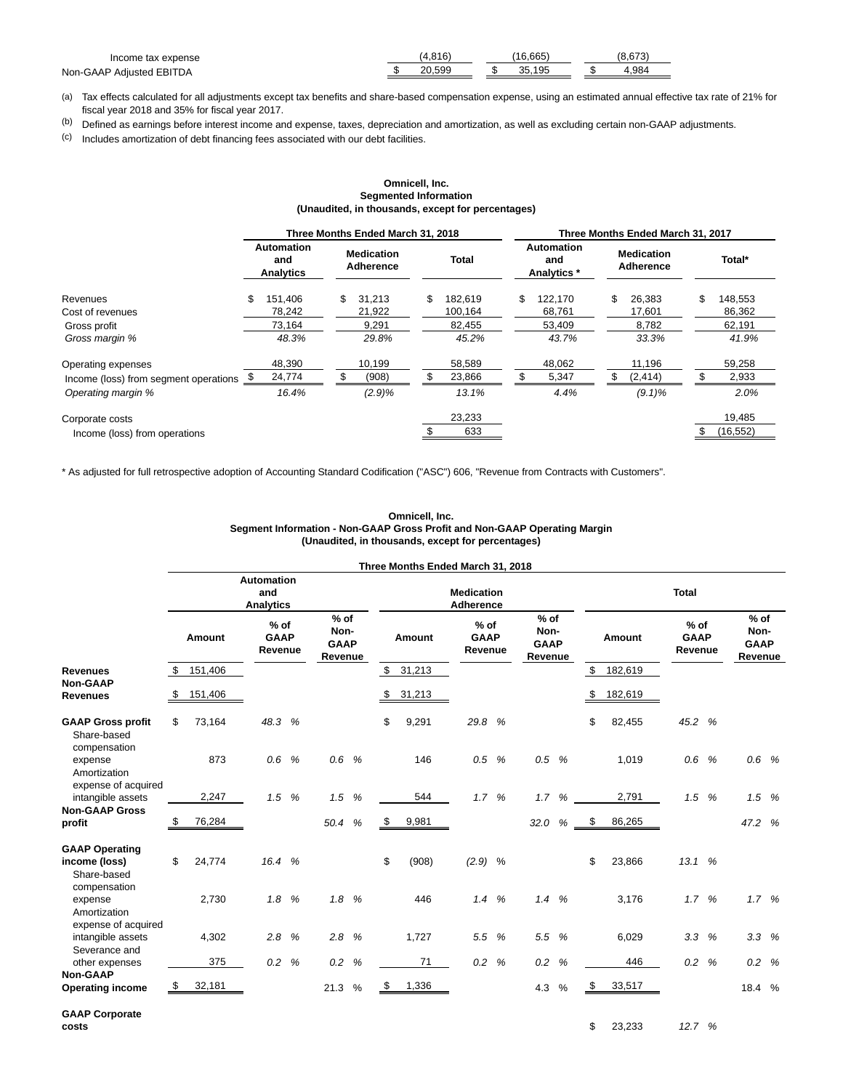| Income tax expense       | 816) | 16.665 |  | $\sim$ |
|--------------------------|------|--------|--|--------|
| Non-GAAP Adiusted EBITDA | 599  | .195   |  | .984   |

- (a) Tax effects calculated for all adjustments except tax benefits and share-based compensation expense, using an estimated annual effective tax rate of 21% for fiscal year 2018 and 35% for fiscal year 2017.
- (b) Defined as earnings before interest income and expense, taxes, depreciation and amortization, as well as excluding certain non-GAAP adjustments.<br>(c) Includes amortization of debt financing fees associated with our debt
- Includes amortization of debt financing fees associated with our debt facilities.

## **Omnicell, Inc. Segmented Information (Unaudited, in thousands, except for percentages)**

|                                                     |                                                                                                                                           | Three Months Ended March 31, 2018 | Three Months Ended March 31, 2017     |               |              |               |  |
|-----------------------------------------------------|-------------------------------------------------------------------------------------------------------------------------------------------|-----------------------------------|---------------------------------------|---------------|--------------|---------------|--|
|                                                     | Automation<br><b>Automation</b><br><b>Medication</b><br><b>Total</b><br>and<br>and<br><b>Adherence</b><br>Analytics *<br><b>Analytics</b> |                                   | <b>Medication</b><br><b>Adherence</b> |               |              |               |  |
| Revenues                                            | \$<br>151.406                                                                                                                             | \$<br>31,213                      | \$<br>182,619                         | \$<br>122.170 | \$<br>26,383 | \$<br>148,553 |  |
| Cost of revenues                                    | 78,242                                                                                                                                    | 21,922                            | 100.164                               | 68,761        | 17,601       | 86,362        |  |
| Gross profit                                        | 73,164                                                                                                                                    | 9,291                             | 82,455                                | 53,409        | 8,782        | 62,191        |  |
| Gross margin %                                      | 48.3%                                                                                                                                     | 29.8%                             | 45.2%                                 | 43.7%         | 33.3%        | 41.9%         |  |
| Operating expenses                                  | 48,390                                                                                                                                    | 10.199                            | 58.589                                | 48.062        | 11,196       | 59,258        |  |
| Income (loss) from segment operations $\frac{1}{2}$ | 24,774                                                                                                                                    | (908)                             | \$.<br>23,866                         | 5,347         | (2, 414)     | 2,933         |  |
| Operating margin %                                  | 16.4%                                                                                                                                     | (2.9)%                            | 13.1%                                 | 4.4%          | $(9.1)\%$    | 2.0%          |  |
| Corporate costs                                     |                                                                                                                                           |                                   | 23,233                                |               |              | 19,485        |  |
| Income (loss) from operations                       |                                                                                                                                           |                                   | 633                                   |               |              | (16, 552)     |  |

\* As adjusted for full retrospective adoption of Accounting Standard Codification ("ASC") 606, "Revenue from Contracts with Customers".

| Omnicell, Inc.                                                            |
|---------------------------------------------------------------------------|
| Seament Information - Non-GAAP Gross Profit and Non-GAAP Operating Margin |
| (Unaudited, in thousands, except for percentages)                         |

|                                                           | Three Months Ended March 31, 2018     |         |                                  |   |                                          |               |        |        |                                       |                                  |       |                                          |        |         |                                  |   |                                          |  |
|-----------------------------------------------------------|---------------------------------------|---------|----------------------------------|---|------------------------------------------|---------------|--------|--------|---------------------------------------|----------------------------------|-------|------------------------------------------|--------|---------|----------------------------------|---|------------------------------------------|--|
|                                                           | <b>Automation</b><br>and<br>Analytics |         |                                  |   |                                          |               |        |        | <b>Medication</b><br><b>Adherence</b> |                                  |       | <b>Total</b>                             |        |         |                                  |   |                                          |  |
|                                                           | Amount                                |         | $%$ of<br><b>GAAP</b><br>Revenue |   | $%$ of<br>Non-<br><b>GAAP</b><br>Revenue |               | Amount |        |                                       | $%$ of<br><b>GAAP</b><br>Revenue |       | $%$ of<br>Non-<br><b>GAAP</b><br>Revenue | Amount |         | $%$ of<br><b>GAAP</b><br>Revenue |   | $%$ of<br>Non-<br><b>GAAP</b><br>Revenue |  |
| <b>Revenues</b>                                           | \$                                    | 151,406 |                                  |   |                                          |               | \$     | 31,213 |                                       |                                  |       |                                          | \$     | 182,619 |                                  |   |                                          |  |
| Non-GAAP<br><b>Revenues</b>                               |                                       | 151,406 |                                  |   |                                          |               | \$     | 31,213 |                                       |                                  |       |                                          | \$     | 182,619 |                                  |   |                                          |  |
| <b>GAAP Gross profit</b><br>Share-based<br>compensation   | \$                                    | 73,164  | 48.3 %                           |   |                                          |               | \$     | 9,291  | 29.8                                  | %                                |       |                                          | \$     | 82,455  | 45.2 %                           |   |                                          |  |
| expense<br>Amortization<br>expense of acquired            |                                       | 873     | 0.6%                             |   | 0.6%                                     |               |        | 146    | 0.5                                   | %                                | 0.5%  |                                          |        | 1,019   | 0.6                              | % | 0.6%                                     |  |
| intangible assets                                         |                                       | 2,247   | 1.5%                             |   | 1.5                                      | %             |        | 544    | 1.7%                                  |                                  | 1.7   | %                                        |        | 2,791   | 1.5                              | % | 1.5%                                     |  |
| <b>Non-GAAP Gross</b><br>profit                           | \$                                    | 76,284  |                                  |   | 50.4                                     | %             | \$     | 9,981  |                                       |                                  | 32.0  | %                                        | \$     | 86,265  |                                  |   | 47.2 %                                   |  |
| <b>GAAP Operating</b><br>income (loss)<br>Share-based     | \$                                    | 24,774  | 16.4 %                           |   |                                          |               | \$     | (908)  | (2.9)                                 | %                                |       |                                          | \$     | 23,866  | 13.1 %                           |   |                                          |  |
| compensation<br>expense<br>Amortization                   |                                       | 2,730   | 1.8                              | % | 1.8                                      | %             |        | 446    | 1.4                                   | %                                | 1.4%  |                                          |        | 3,176   | 1.7%                             |   | 1.7%                                     |  |
| expense of acquired<br>intangible assets<br>Severance and |                                       | 4,302   | 2.8%                             |   | 2.8%                                     |               |        | 1,727  | 5.5                                   | %                                | 5.5 % |                                          |        | 6,029   | 3.3                              | % | 3.3%                                     |  |
| other expenses                                            |                                       | 375     | 0.2%                             |   | 0.2                                      | $\frac{0}{0}$ |        | 71     | 0.2                                   | %                                | 0.2   | %                                        |        | 446     | 0.2                              | % | 0.2%                                     |  |
| Non-GAAP<br><b>Operating income</b>                       |                                       | 32,181  |                                  |   | 21.3                                     | %             | S      | 1,336  |                                       |                                  | 4.3   | $\%$                                     |        | 33,517  |                                  |   | 18.4 %                                   |  |

**costs** \$ 23,233 12.7 %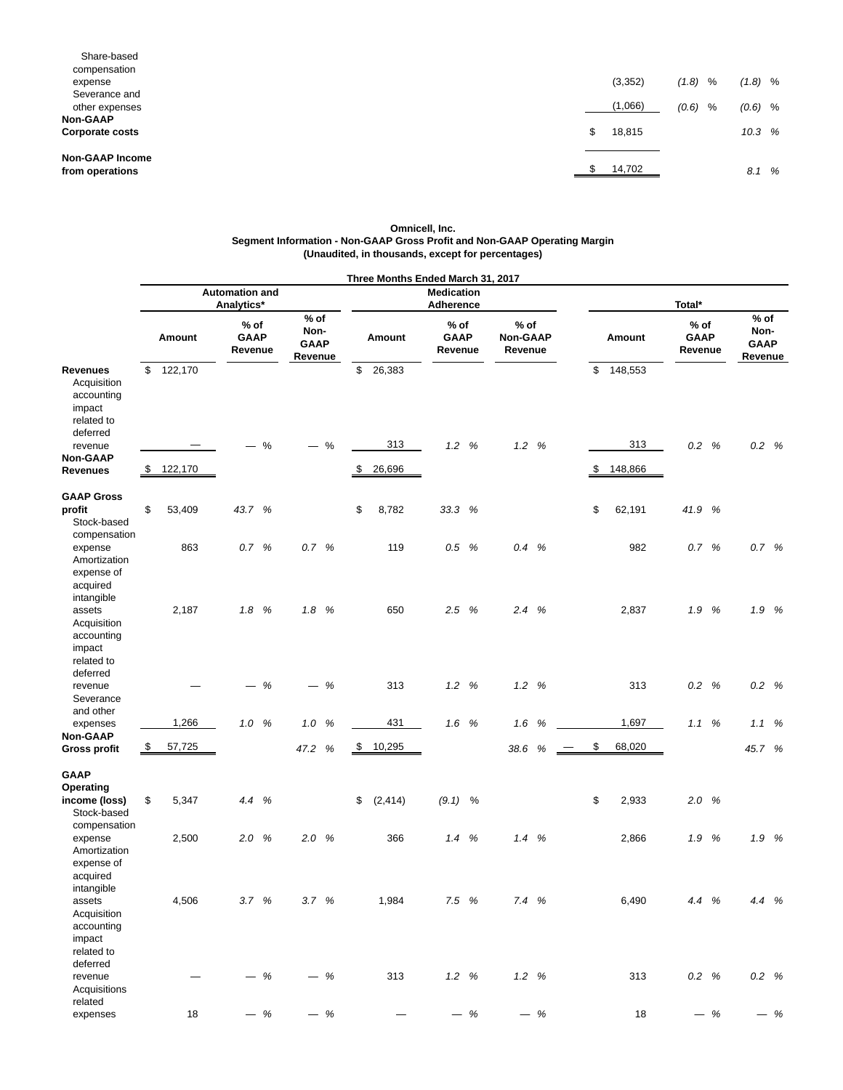| Share-based<br>compensation               |              |       |   |           |  |
|-------------------------------------------|--------------|-------|---|-----------|--|
| expense                                   | (3,352)      | (1.8) | % | $(1.8)$ % |  |
| Severance and                             |              |       |   |           |  |
| other expenses                            | (1,066)      | (0.6) | % | $(0.6)$ % |  |
| <b>Non-GAAP</b>                           |              |       |   |           |  |
| <b>Corporate costs</b>                    | \$<br>18,815 |       |   | 10.3 %    |  |
|                                           |              |       |   |           |  |
| <b>Non-GAAP Income</b><br>from operations | 14,702       |       |   | 8.1 %     |  |

#### **Omnicell, Inc. Segment Information - Non-GAAP Gross Profit and Non-GAAP Operating Margin (Unaudited, in thousands, except for percentages)**

|                                                                                  | Three Months Ended March 31, 2017 |         |                                |     |                                          |       |    |          |                                  |       |                                      |       |    |         |       |                                |        |                                          |
|----------------------------------------------------------------------------------|-----------------------------------|---------|--------------------------------|-----|------------------------------------------|-------|----|----------|----------------------------------|-------|--------------------------------------|-------|----|---------|-------|--------------------------------|--------|------------------------------------------|
| <b>Automation and</b><br>Analytics*                                              |                                   |         |                                |     |                                          |       |    |          | <b>Medication</b><br>Adherence   |       |                                      |       |    | Total*  |       |                                |        |                                          |
|                                                                                  | Amount                            |         | % of<br><b>GAAP</b><br>Revenue |     | $%$ of<br>Non-<br><b>GAAP</b><br>Revenue |       |    | Amount   | $%$ of<br><b>GAAP</b><br>Revenue |       | $%$ of<br><b>Non-GAAP</b><br>Revenue |       |    | Amount  |       | % of<br><b>GAAP</b><br>Revenue |        | $%$ of<br>Non-<br><b>GAAP</b><br>Revenue |
| <b>Revenues</b><br>Acquisition<br>accounting<br>impact<br>related to<br>deferred | \$                                | 122,170 |                                |     |                                          |       | \$ | 26,383   |                                  |       |                                      |       | \$ | 148,553 |       |                                |        |                                          |
| revenue                                                                          |                                   |         |                                | %   |                                          | %     |    | 313      | 1.2%                             |       | 1.2%                                 |       |    | 313     | 0.2 % |                                | 0.2 %  |                                          |
| Non-GAAP<br><b>Revenues</b>                                                      | $\frac{1}{2}$                     | 122,170 |                                |     |                                          |       | \$ | 26,696   |                                  |       |                                      |       | \$ | 148,866 |       |                                |        |                                          |
| <b>GAAP Gross</b><br>profit<br>Stock-based                                       | \$                                | 53,409  | 43.7 %                         |     |                                          |       | \$ | 8,782    | 33.3 %                           |       |                                      |       | \$ | 62,191  | 41.9  | %                              |        |                                          |
| compensation<br>expense<br>Amortization<br>expense of<br>acquired                |                                   | 863     | 0.7%                           |     | 0.7%                                     |       |    | 119      | 0.5 %                            |       | 0.4%                                 |       |    | 982     | 0.7%  |                                | 0.7 %  |                                          |
| intangible<br>assets<br>Acquisition<br>accounting<br>impact<br>related to        |                                   | 2,187   | 1.8                            | %   | 1.8                                      | %     |    | 650      | 2.5%                             |       | 2.4%                                 |       |    | 2,837   | 1.9   | %                              | 1.9%   |                                          |
| deferred<br>revenue<br>Severance<br>and other                                    |                                   |         |                                | %   |                                          | %     |    | 313      | 1.2%                             |       | 1.2                                  | %     |    | 313     | 0.2   | %                              | 0.2%   |                                          |
| expenses                                                                         |                                   | 1,266   | 1.0                            | %   | 1.0                                      | %     |    | 431      | 1.6%                             |       | 1.6                                  | %     |    | 1,697   | 1.1%  |                                | 1.1%   |                                          |
| Non-GAAP<br><b>Gross profit</b>                                                  | \$                                | 57,725  |                                |     | 47.2                                     | $\%$  | \$ | 10,295   |                                  |       | 38.6                                 | %     | \$ | 68,020  |       |                                | 45.7 % |                                          |
|                                                                                  |                                   |         |                                |     |                                          |       |    |          |                                  |       |                                      |       |    |         |       |                                |        |                                          |
| <b>GAAP</b><br>Operating<br>income (loss)<br>Stock-based                         | \$                                | 5,347   | 4.4                            | %   |                                          |       | \$ | (2, 414) | (9.1)                            | %     |                                      |       | \$ | 2,933   | 2.0   | %                              |        |                                          |
| compensation<br>expense<br>Amortization<br>expense of<br>acquired                |                                   | 2,500   | 2.0                            | %   | 2.0%                                     |       |    | 366      | 1.4%                             |       | 1.4%                                 |       |    | 2,866   | 1.9 % |                                | 1.9%   |                                          |
| intangible<br>assets<br>Acquisition<br>accounting<br>impact                      |                                   | 4,506   | 3.7%                           |     | 3.7%                                     |       |    | 1,984    | 7.5 %                            |       | 7.4%                                 |       |    | 6,490   | 4.4 % |                                | 4.4 %  |                                          |
| related to<br>deferred<br>revenue<br>Acquisitions<br>related                     |                                   |         |                                | — % |                                          | $-$ % |    | 313      | 1.2%                             |       | 1.2 %                                |       |    | 313     | 0.2 % |                                | 0.2 %  |                                          |
| expenses                                                                         |                                   | 18      |                                | — % |                                          | — %   |    |          |                                  | $-$ % |                                      | $-$ % |    | 18      |       | $-$ %                          |        | — %                                      |